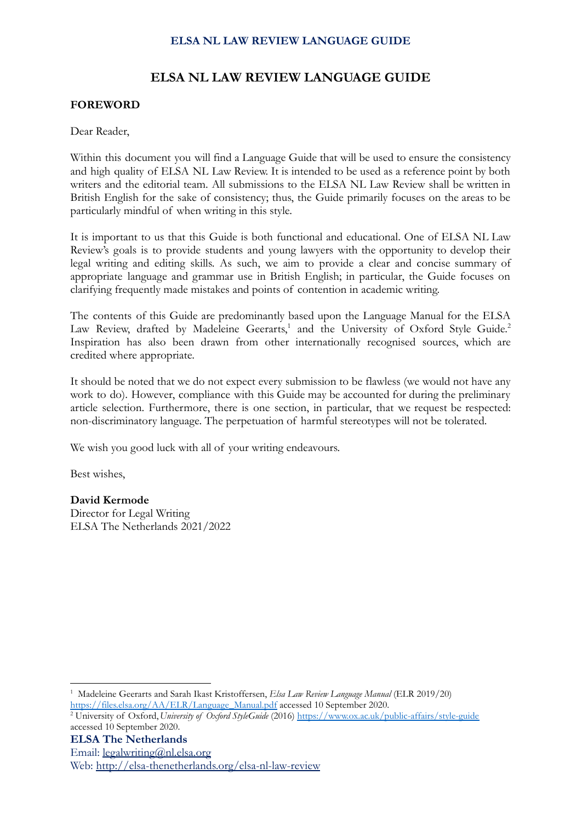### **ELSA NL LAW REVIEW LANGUAGE GUIDE**

#### **FOREWORD**

#### Dear Reader,

Within this document you will find a Language Guide that will be used to ensure the consistency and high quality of ELSA NL Law Review. It is intended to be used as a reference point by both writers and the editorial team. All submissions to the ELSA NL Law Review shall be written in British English for the sake of consistency; thus, the Guide primarily focuses on the areas to be particularly mindful of when writing in this style.

It is important to us that this Guide is both functional and educational. One of ELSA NL Law Review's goals is to provide students and young lawyers with the opportunity to develop their legal writing and editing skills. As such, we aim to provide a clear and concise summary of appropriate language and grammar use in British English; in particular, the Guide focuses on clarifying frequently made mistakes and points of contention in academic writing.

The contents of this Guide are predominantly based upon the Language Manual for the ELSA Law Review, drafted by Madeleine Geerarts,<sup>1</sup> and the University of Oxford Style Guide.<sup>2</sup> Inspiration has also been drawn from other internationally recognised sources, which are credited where appropriate.

It should be noted that we do not expect every submission to be flawless (we would not have any work to do). However, compliance with this Guide may be accounted for during the preliminary article selection. Furthermore, there is one section, in particular, that we request be respected: non-discriminatory language. The perpetuation of harmful stereotypes will not be tolerated.

We wish you good luck with all of your writing endeavours.

Best wishes,

#### **David Kermode**

Director for Legal Writing ELSA The Netherlands 2021/2022

<sup>1</sup> Madeleine Geerarts and Sarah Ikast Kristoffersen, *Elsa Law Review Language Manual* (ELR 2019/20) [https://files.elsa.org/AA/ELR/Language\\_Manual.pdf](https://files.elsa.org/AA/ELR/Language_Manual.pdf) accessed 10 September 2020.

<sup>2</sup> University of Oxford,*University of Oxford StyleGuide* (2016) <https://www.ox.ac.uk/public-affairs/style-guide> accessed 10 September 2020.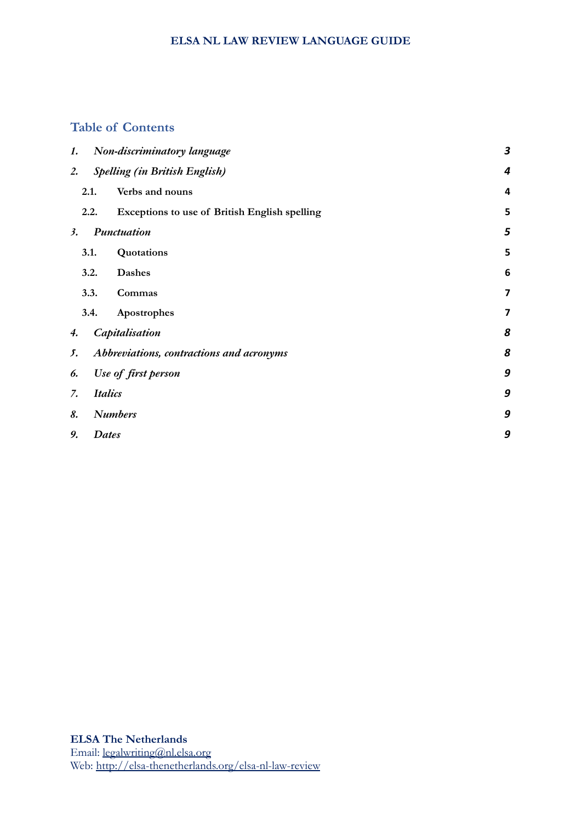### **Table of Contents**

| 1.                   |                                          | Non-discriminatory language                   | $\boldsymbol{3}$        |
|----------------------|------------------------------------------|-----------------------------------------------|-------------------------|
| 2.                   |                                          | <b>Spelling (in British English)</b>          | 4                       |
|                      | 2.1.                                     | Verbs and nouns                               | 4                       |
|                      | 2.2.                                     | Exceptions to use of British English spelling | 5                       |
| 3.                   | Punctuation                              |                                               | 5                       |
|                      | 3.1.                                     | Quotations                                    | 5                       |
|                      | 3.2.                                     | <b>Dashes</b>                                 | 6                       |
|                      | 3.3.                                     | Commas                                        | $\overline{\mathbf{z}}$ |
|                      | 3.4.                                     | Apostrophes                                   | 7                       |
| 4.                   |                                          | Capitalisation                                | 8                       |
| 5.                   | Abbreviations, contractions and acronyms |                                               | 8                       |
| 6.                   | Use of first person                      |                                               |                         |
| <b>Italics</b><br>7. |                                          |                                               | 9                       |
| 8.                   | <b>Numbers</b>                           |                                               |                         |
| 9.                   | Dates                                    |                                               | 9                       |
|                      |                                          |                                               |                         |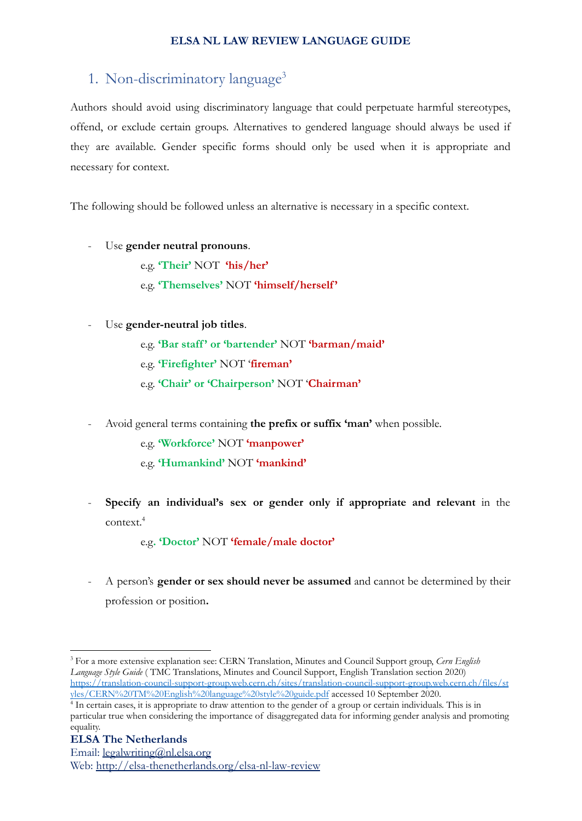# <span id="page-2-0"></span>1. Non-discriminatory language 3

Authors should avoid using discriminatory language that could perpetuate harmful stereotypes, offend, or exclude certain groups. Alternatives to gendered language should always be used if they are available. Gender specific forms should only be used when it is appropriate and necessary for context.

The following should be followed unless an alternative is necessary in a specific context.

Use **gender neutral pronouns**.

e.g. **'Their'** NOT **'his/her'** e.g. **'Themselves'** NOT **'himself/herself'**

- Use **gender-neutral job titles**.

e.g. **'Bar staff' or 'bartender'** NOT **'barman/maid'**

e.g. **'Firefighter'** NOT '**fireman'**

- e.g. **'Chair' or 'Chairperson'** NOT '**Chairman'**
- Avoid general terms containing **the prefix or suffix 'man'** when possible.

e.g. **'Workforce'** NOT **'manpower'**

- e.g. **'Humankind'** NOT **'mankind'**
- **Specify an individual's sex or gender only if appropriate and relevant** in the context.<sup>4</sup>

e.g**. 'Doctor'** NOT **'female/male doctor'**

- A person's **gender or sex should never be assumed** and cannot be determined by their profession or position**.**

<sup>3</sup> For a more extensive explanation see: CERN Translation, Minutes and Council Support group, *Cern English Language Style Guide* ( TMC Translations, Minutes and Council Support, English Translation section 2020) [https://translation-council-support-group.web.cern.ch/sites/translation-council-support-group.web.cern.ch/files/st](https://translation-council-support-group.web.cern.ch/sites/translation-council-support-group.web.cern.ch/files/styles/CERN%20TM%20English%20language%20style%20guide.pdf) [yles/CERN%20TM%20English%20language%20style%20guide.pdf](https://translation-council-support-group.web.cern.ch/sites/translation-council-support-group.web.cern.ch/files/styles/CERN%20TM%20English%20language%20style%20guide.pdf) accessed 10 September 2020.

<sup>&</sup>lt;sup>4</sup> In certain cases, it is appropriate to draw attention to the gender of a group or certain individuals. This is in particular true when considering the importance of disaggregated data for informing gender analysis and promoting equality.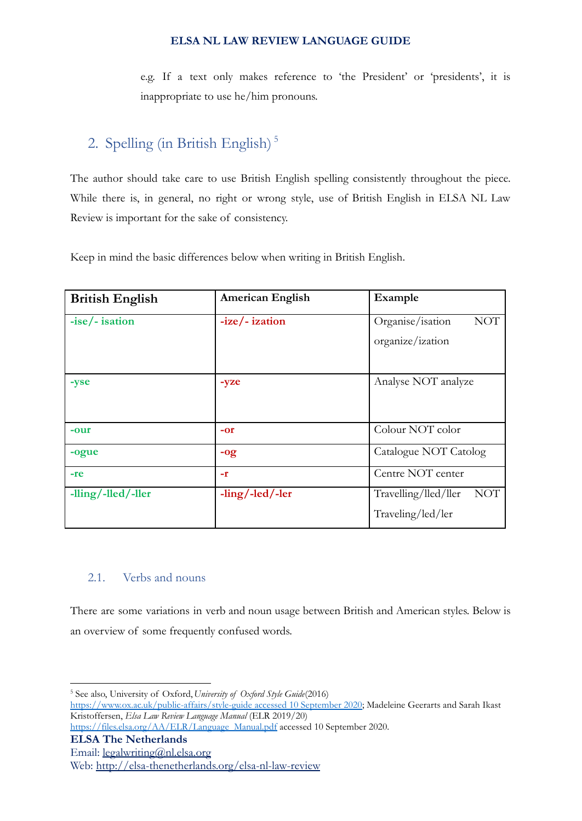e.g. If a text only makes reference to 'the President' or 'presidents', it is inappropriate to use he/him pronouns.

# <span id="page-3-0"></span>2. Spelling (in British English) 5

The author should take care to use British English spelling consistently throughout the piece. While there is, in general, no right or wrong style, use of British English in ELSA NL Law Review is important for the sake of consistency.

Keep in mind the basic differences below when writing in British English.

| <b>British English</b> | <b>American English</b> | Example                            |
|------------------------|-------------------------|------------------------------------|
| $-ise/-$ isation       | $-ize/-$ ization        | Organise/isation<br><b>NOT</b>     |
|                        |                         | organize/ization                   |
| -yse                   | -yze                    | Analyse NOT analyze                |
| -our                   | $-0r$                   | Colour NOT color                   |
| -ogue                  | $-og$                   | Catalogue NOT Catolog              |
| $-re$                  | -r                      | Centre NOT center                  |
| -lling/-lled/-ller     | $-ling/$ -led/-ler      | Travelling/lled/ller<br><b>NOT</b> |
|                        |                         | Traveling/led/ler                  |

### <span id="page-3-1"></span>2.1. Verbs and nouns

There are some variations in verb and noun usage between British and American styles. Below is an overview of some frequently confused words.

<sup>5</sup> See also, University of Oxford,*University of Oxford Style Guide*(2016) [https://www.ox.ac.uk/public-affairs/style-guide](https://www.ox.ac.uk/public-affairs/style-guide%20accessed%2010%20September%202020) accessed 10 September 2020; Madeleine Geerarts and Sarah Ikast Kristoffersen, *Elsa Law Review Language Manual* (ELR 2019/20)

[https://files.elsa.org/AA/ELR/Language\\_Manual.pdf](https://files.elsa.org/AA/ELR/Language_Manual.pdf) accessed 10 September 2020.

**ELSA The Netherlands**

Email: [legalwriting@nl.elsa.org](mailto:legalwriting@nl.elsa.org)

Web: <http://elsa-thenetherlands.org/elsa-nl-law-review>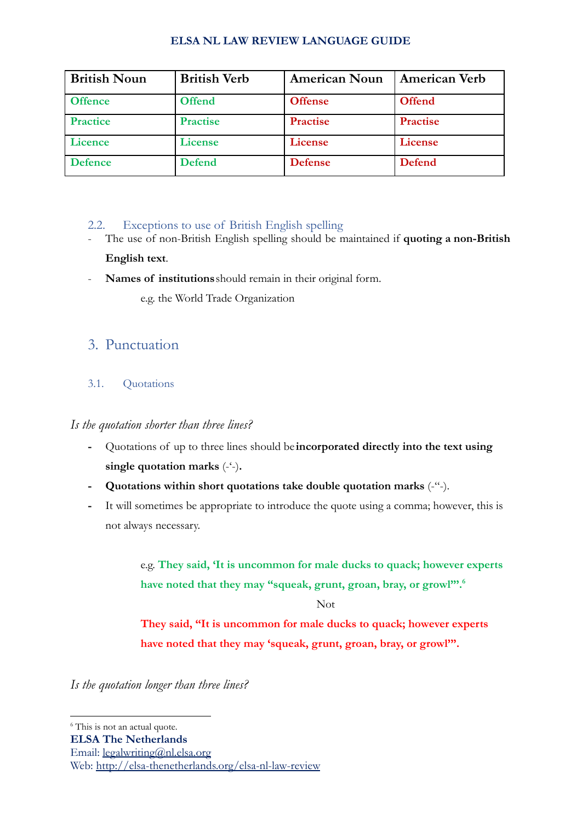| <b>British Noun</b> | <b>British Verb</b> | <b>American Noun</b> | <b>American Verb</b> |
|---------------------|---------------------|----------------------|----------------------|
| <b>Offence</b>      | <b>Offend</b>       | <b>Offense</b>       | <b>Offend</b>        |
| <b>Practice</b>     | <b>Practise</b>     | <b>Practise</b>      | <b>Practise</b>      |
| <b>Licence</b>      | License             | License              | License              |
| <b>Defence</b>      | <b>Defend</b>       | <b>Defense</b>       | <b>Defend</b>        |

### <span id="page-4-0"></span>2.2. Exceptions to use of British English spelling

- The use of non-British English spelling should be maintained if **quoting a non-British English text**.
- **Names of institutions**should remain in their original form.

e.g. the World Trade Organization

# <span id="page-4-1"></span>3. Punctuation

### <span id="page-4-2"></span>3.1. Quotations

### *Is the quotation shorter than three lines?*

- **-** Quotations of up to three lines should be **incorporated directly into the text using single quotation marks** (-'-)**.**
- **- Quotations within short quotations take double quotation marks** (-"-).
- **-** It will sometimes be appropriate to introduce the quote using a comma; however, this is not always necessary.

e.g. **They said, 'It is uncommon for male ducks to quack; however experts have noted that they may "squeak, grunt, groan, bray, or growl"'.<sup>6</sup>**

Not

**They said, "It is uncommon for male ducks to quack; however experts have noted that they may 'squeak, grunt, groan, bray, or growl'".**

*Is the quotation longer than three lines?*

<sup>&</sup>lt;sup>6</sup> This is not an actual quote.

**ELSA The Netherlands**

Email: [legalwriting@nl.elsa.org](mailto:legalwriting@nl.elsa.org)

Web: <http://elsa-thenetherlands.org/elsa-nl-law-review>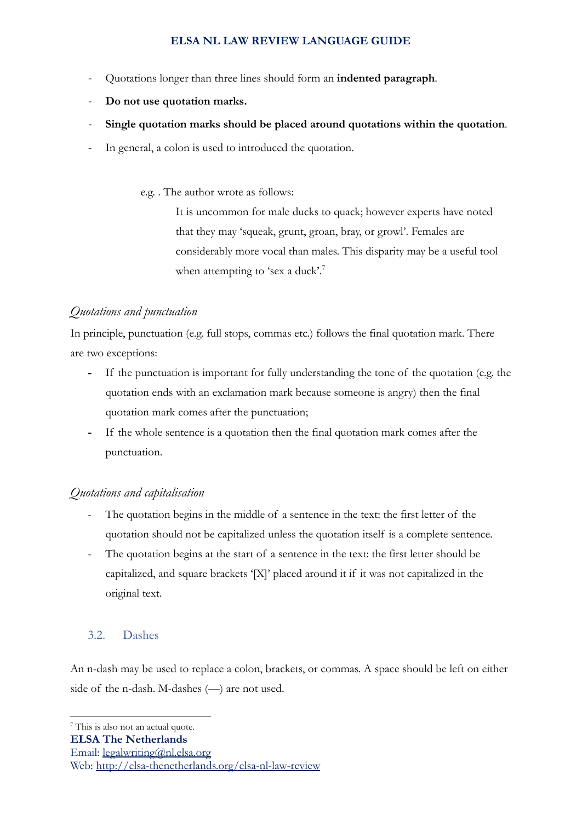- *-* Quotations longer than three lines should form an **indented paragraph**.
- *-* **Do not use quotation marks.**
- *-* **Single quotation marks should be placed around quotations within the quotation**.
- In general, a colon is used to introduced the quotation.

e.g. . The author wrote as follows:

It is uncommon for male ducks to quack; however experts have noted that they may 'squeak, grunt, groan, bray, or growl'. Females are considerably more vocal than males. This disparity may be a useful tool when attempting to 'sex a duck'.<sup>7</sup>

### *Quotations and punctuation*

In principle, punctuation (e.g. full stops, commas etc.) follows the final quotation mark. There are two exceptions:

- **-** If the punctuation is important for fully understanding the tone of the quotation (e.g. the quotation ends with an exclamation mark because someone is angry) then the final quotation mark comes after the punctuation;
- **-** If the whole sentence is a quotation then the final quotation mark comes after the punctuation.

### *Quotations and capitalisation*

- The quotation begins in the middle of a sentence in the text: the first letter of the quotation should not be capitalized unless the quotation itself is a complete sentence.
- The quotation begins at the start of a sentence in the text: the first letter should be capitalized, and square brackets '[X]' placed around it if it was not capitalized in the original text.

### <span id="page-5-0"></span>3.2. Dashes

An n-dash may be used to replace a colon, brackets, or commas. A space should be left on either side of the n-dash. M-dashes (—) are not used.

Email: [legalwriting@nl.elsa.org](mailto:legalwriting@nl.elsa.org)

Web: <http://elsa-thenetherlands.org/elsa-nl-law-review>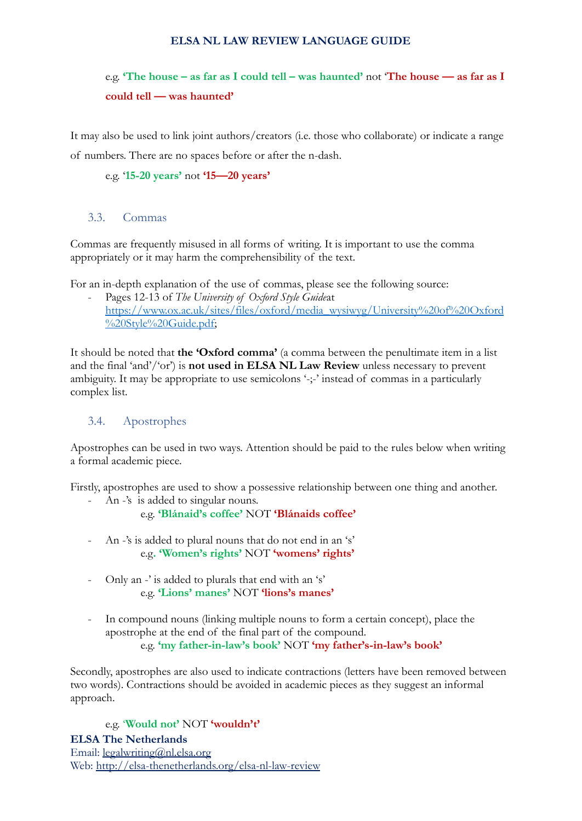# e.g. **'The house – as far as I could tell – was haunted'** not '**The house — as far as I could tell — was haunted'**

It may also be used to link joint authors/creators (i.e. those who collaborate) or indicate a range

of numbers. There are no spaces before or after the n-dash.

e.g. '**15-20 years'** not **'15—20 years'**

#### <span id="page-6-0"></span>3.3. Commas

Commas are frequently misused in all forms of writing. It is important to use the comma appropriately or it may harm the comprehensibility of the text.

For an in-depth explanation of the use of commas, please see the following source:

Pages 12-13 of *The University of Oxford Style Guideat* [https://www.ox.ac.uk/sites/files/oxford/media\\_wysiwyg/University%20of%20Oxford](https://www.ox.ac.uk/sites/files/oxford/media_wysiwyg/University%20of%20Oxford%20Style%20Guide.pdf) [%20Style%20Guide.pdf;](https://www.ox.ac.uk/sites/files/oxford/media_wysiwyg/University%20of%20Oxford%20Style%20Guide.pdf)

It should be noted that **the 'Oxford comma'** (a comma between the penultimate item in a list and the final 'and'/'or') is **not used in ELSA NL Law Review** unless necessary to prevent ambiguity. It may be appropriate to use semicolons '-;-' instead of commas in a particularly complex list.

### <span id="page-6-1"></span>3.4. Apostrophes

Apostrophes can be used in two ways. Attention should be paid to the rules below when writing a formal academic piece.

Firstly, apostrophes are used to show a possessive relationship between one thing and another.

- An -'s is added to singular nouns.

#### e.g. **'Blánaid's coffee'** NOT **'Blánaids coffee'**

- An -'s is added to plural nouns that do not end in an 's' e.g**. 'Women's rights'** NOT **'womens' rights'**
- Only an -' is added to plurals that end with an 's' e.g. **'Lions' manes'** NOT **'lions's manes'**
- In compound nouns (linking multiple nouns to form a certain concept), place the apostrophe at the end of the final part of the compound. e.g. **'my father-in-law's book'** NOT **'my father's-in-law's book'**

Secondly, apostrophes are also used to indicate contractions (letters have been removed between two words). Contractions should be avoided in academic pieces as they suggest an informal approach.

e.g. '**Would not'** NOT **'wouldn't' ELSA The Netherlands** Email: [legalwriting@nl.elsa.org](mailto:legalwriting@nl.elsa.org) Web: <http://elsa-thenetherlands.org/elsa-nl-law-review>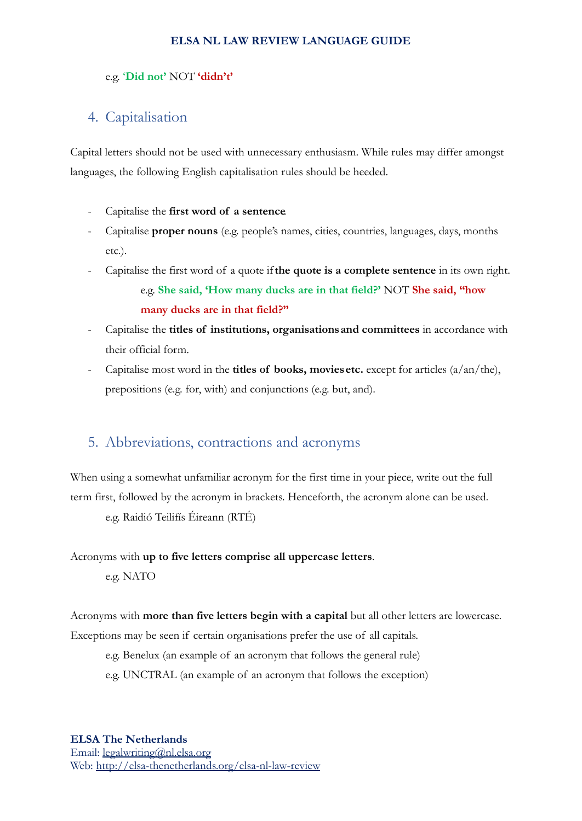#### e.g. '**Did not'** NOT **'didn't'**

## <span id="page-7-0"></span>4. Capitalisation

Capital letters should not be used with unnecessary enthusiasm. While rules may differ amongst languages, the following English capitalisation rules should be heeded.

- Capitalise the **first word of a sentence**.
- Capitalise **proper nouns** (e.g. people's names, cities, countries, languages, days, months etc.).
- Capitalise the first word of a quote if**the quote is a complete sentence** in its own right. e.g. **She said, 'How many ducks are in that field?'** NOT **She said, "how many ducks are in that field?"**
- Capitalise the **titles of institutions, organisationsand committees** in accordance with their official form.
- Capitalise most word in the **titles of books, moviesetc.** except for articles (a/an/the), prepositions (e.g. for, with) and conjunctions (e.g. but, and).

# <span id="page-7-1"></span>5. Abbreviations, contractions and acronyms

When using a somewhat unfamiliar acronym for the first time in your piece, write out the full term first, followed by the acronym in brackets. Henceforth, the acronym alone can be used. e.g. Raidió Teilifís Éireann (RTÉ)

### Acronyms with **up to five letters comprise all uppercase letters**.

e.g. NATO

Acronyms with **more than five letters begin with a capital** but all other letters are lowercase.

Exceptions may be seen if certain organisations prefer the use of all capitals.

e.g. Benelux (an example of an acronym that follows the general rule)

e.g. UNCTRAL (an example of an acronym that follows the exception)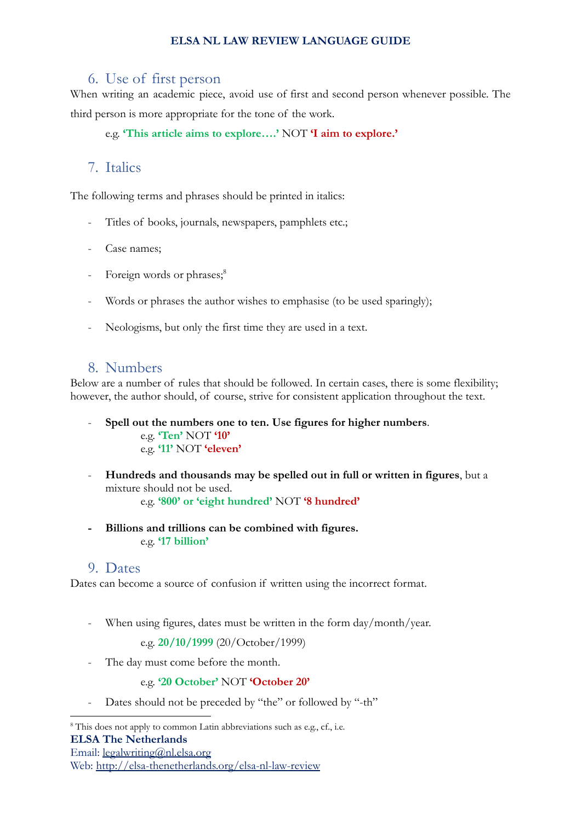### <span id="page-8-0"></span>6. Use of first person

When writing an academic piece, avoid use of first and second person whenever possible. The third person is more appropriate for the tone of the work.

e.g. **'This article aims to explore….'** NOT **'I aim to explore.'**

# <span id="page-8-1"></span>7. Italics

The following terms and phrases should be printed in italics:

- Titles of books, journals, newspapers, pamphlets etc.;
- Case names;
- Foreign words or phrases;<sup>8</sup>
- Words or phrases the author wishes to emphasise (to be used sparingly);
- Neologisms, but only the first time they are used in a text.

# <span id="page-8-2"></span>8. Numbers

Below are a number of rules that should be followed. In certain cases, there is some flexibility; however, the author should, of course, strive for consistent application throughout the text.

- **Spell out the numbers one to ten. Use figures for higher numbers**. e.g. **'Ten'** NOT **'10'** e.g. **'11'** NOT **'eleven'**
- **Hundreds and thousands may be spelled out in full or written in figures**, but a mixture should not be used.
	- e.g. **'800' or 'eight hundred'** NOT **'8 hundred'**
- **- Billions and trillions can be combined with figures.** e.g. **'17 billion'**

### <span id="page-8-3"></span>9. Dates

Dates can become a source of confusion if written using the incorrect format.

When using figures, dates must be written in the form day/month/year.

e.g. **20/10/1999** (20/October/1999)

- The day must come before the month.

e.g. **'20 October'** NOT **'October 20'**

Dates should not be preceded by "the" or followed by "-th"

<sup>&</sup>lt;sup>8</sup> This does not apply to common Latin abbreviations such as e.g., cf., i.e. **ELSA The Netherlands** Email: [legalwriting@nl.elsa.org](mailto:legalwriting@nl.elsa.org)

Web: <http://elsa-thenetherlands.org/elsa-nl-law-review>